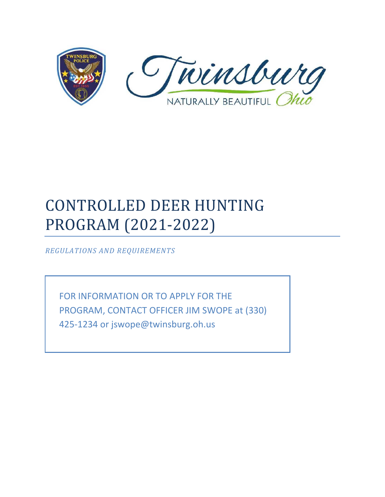

# CONTROLLED DEER HUNTING PROGRAM (2021-2022)

*REGULATIONS AND REQUIREMENTS*

FOR INFORMATION OR TO APPLY FOR THE PROGRAM, CONTACT OFFICER JIM SWOPE at (330) 425-1234 or jswope@twinsburg.oh.us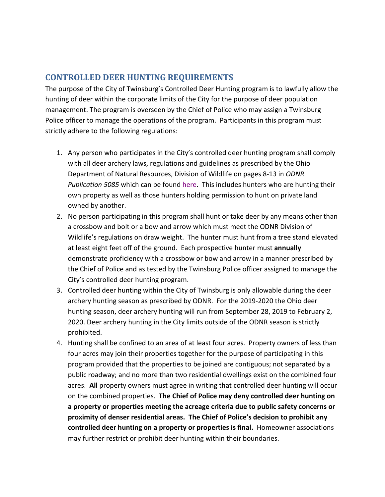#### **CONTROLLED DEER HUNTING REQUIREMENTS**

The purpose of the City of Twinsburg's Controlled Deer Hunting program is to lawfully allow the hunting of deer within the corporate limits of the City for the purpose of deer population management. The program is overseen by the Chief of Police who may assign a Twinsburg Police officer to manage the operations of the program. Participants in this program must strictly adhere to the following regulations:

- 1. Any person who participates in the City's controlled deer hunting program shall comply with all deer archery laws, regulations and guidelines as prescribed by the Ohio Department of Natural Resources, Division of Wildlife on pages 8-13 in *ODNR Publication 5085* which can be found [here.](https://ohiodnr.gov/wps/wcm/connect/gov/00ba8d69-6ade-4e87-bd77-9f0d1511b213/2020-21+Ohio+Hunting+Regs+Pub+5084.pdf?MOD=AJPERES&CONVERT_TO=url&CACHEID=ROOTWORKSPACE.Z18_M1HGGIK0N0JO00QO9DDDDM3000-00ba8d69-6ade-4e87-bd77-9f0d1511b213-nd9pF87) This includes hunters who are hunting their own property as well as those hunters holding permission to hunt on private land owned by another.
- 2. No person participating in this program shall hunt or take deer by any means other than a crossbow and bolt or a bow and arrow which must meet the ODNR Division of Wildlife's regulations on draw weight. The hunter must hunt from a tree stand elevated at least eight feet off of the ground. Each prospective hunter must **annually** demonstrate proficiency with a crossbow or bow and arrow in a manner prescribed by the Chief of Police and as tested by the Twinsburg Police officer assigned to manage the City's controlled deer hunting program.
- 3. Controlled deer hunting within the City of Twinsburg is only allowable during the deer archery hunting season as prescribed by ODNR. For the 2019-2020 the Ohio deer hunting season, deer archery hunting will run from September 28, 2019 to February 2, 2020. Deer archery hunting in the City limits outside of the ODNR season is strictly prohibited.
- 4. Hunting shall be confined to an area of at least four acres. Property owners of less than four acres may join their properties together for the purpose of participating in this program provided that the properties to be joined are contiguous; not separated by a public roadway; and no more than two residential dwellings exist on the combined four acres. **All** property owners must agree in writing that controlled deer hunting will occur on the combined properties. **The Chief of Police may deny controlled deer hunting on a property or properties meeting the acreage criteria due to public safety concerns or proximity of denser residential areas. The Chief of Police's decision to prohibit any controlled deer hunting on a property or properties is final.** Homeowner associations may further restrict or prohibit deer hunting within their boundaries.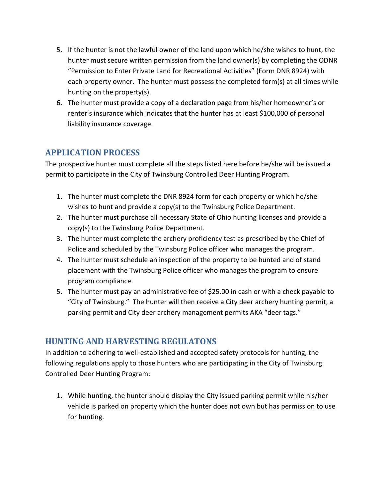- 5. If the hunter is not the lawful owner of the land upon which he/she wishes to hunt, the hunter must secure written permission from the land owner(s) by completing the ODNR "Permission to Enter Private Land for Recreational Activities" (Form DNR 8924) with each property owner. The hunter must possess the completed form(s) at all times while hunting on the property(s).
- 6. The hunter must provide a copy of a declaration page from his/her homeowner's or renter's insurance which indicates that the hunter has at least \$100,000 of personal liability insurance coverage.

### **APPLICATION PROCESS**

The prospective hunter must complete all the steps listed here before he/she will be issued a permit to participate in the City of Twinsburg Controlled Deer Hunting Program.

- 1. The hunter must complete the DNR 8924 form for each property or which he/she wishes to hunt and provide a copy(s) to the Twinsburg Police Department.
- 2. The hunter must purchase all necessary State of Ohio hunting licenses and provide a copy(s) to the Twinsburg Police Department.
- 3. The hunter must complete the archery proficiency test as prescribed by the Chief of Police and scheduled by the Twinsburg Police officer who manages the program.
- 4. The hunter must schedule an inspection of the property to be hunted and of stand placement with the Twinsburg Police officer who manages the program to ensure program compliance.
- 5. The hunter must pay an administrative fee of \$25.00 in cash or with a check payable to "City of Twinsburg." The hunter will then receive a City deer archery hunting permit, a parking permit and City deer archery management permits AKA "deer tags."

### **HUNTING AND HARVESTING REGULATONS**

In addition to adhering to well-established and accepted safety protocols for hunting, the following regulations apply to those hunters who are participating in the City of Twinsburg Controlled Deer Hunting Program:

1. While hunting, the hunter should display the City issued parking permit while his/her vehicle is parked on property which the hunter does not own but has permission to use for hunting.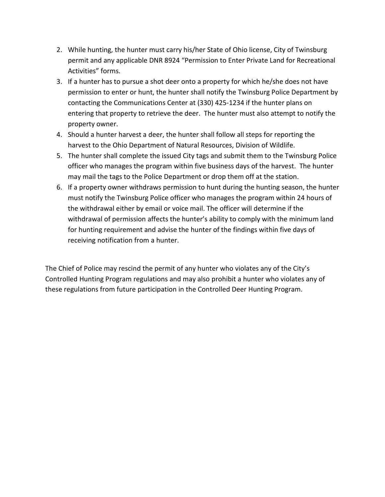- 2. While hunting, the hunter must carry his/her State of Ohio license, City of Twinsburg permit and any applicable DNR 8924 "Permission to Enter Private Land for Recreational Activities" forms.
- 3. If a hunter has to pursue a shot deer onto a property for which he/she does not have permission to enter or hunt, the hunter shall notify the Twinsburg Police Department by contacting the Communications Center at (330) 425-1234 if the hunter plans on entering that property to retrieve the deer. The hunter must also attempt to notify the property owner.
- 4. Should a hunter harvest a deer, the hunter shall follow all steps for reporting the harvest to the Ohio Department of Natural Resources, Division of Wildlife.
- 5. The hunter shall complete the issued City tags and submit them to the Twinsburg Police officer who manages the program within five business days of the harvest. The hunter may mail the tags to the Police Department or drop them off at the station.
- 6. If a property owner withdraws permission to hunt during the hunting season, the hunter must notify the Twinsburg Police officer who manages the program within 24 hours of the withdrawal either by email or voice mail. The officer will determine if the withdrawal of permission affects the hunter's ability to comply with the minimum land for hunting requirement and advise the hunter of the findings within five days of receiving notification from a hunter.

The Chief of Police may rescind the permit of any hunter who violates any of the City's Controlled Hunting Program regulations and may also prohibit a hunter who violates any of these regulations from future participation in the Controlled Deer Hunting Program.